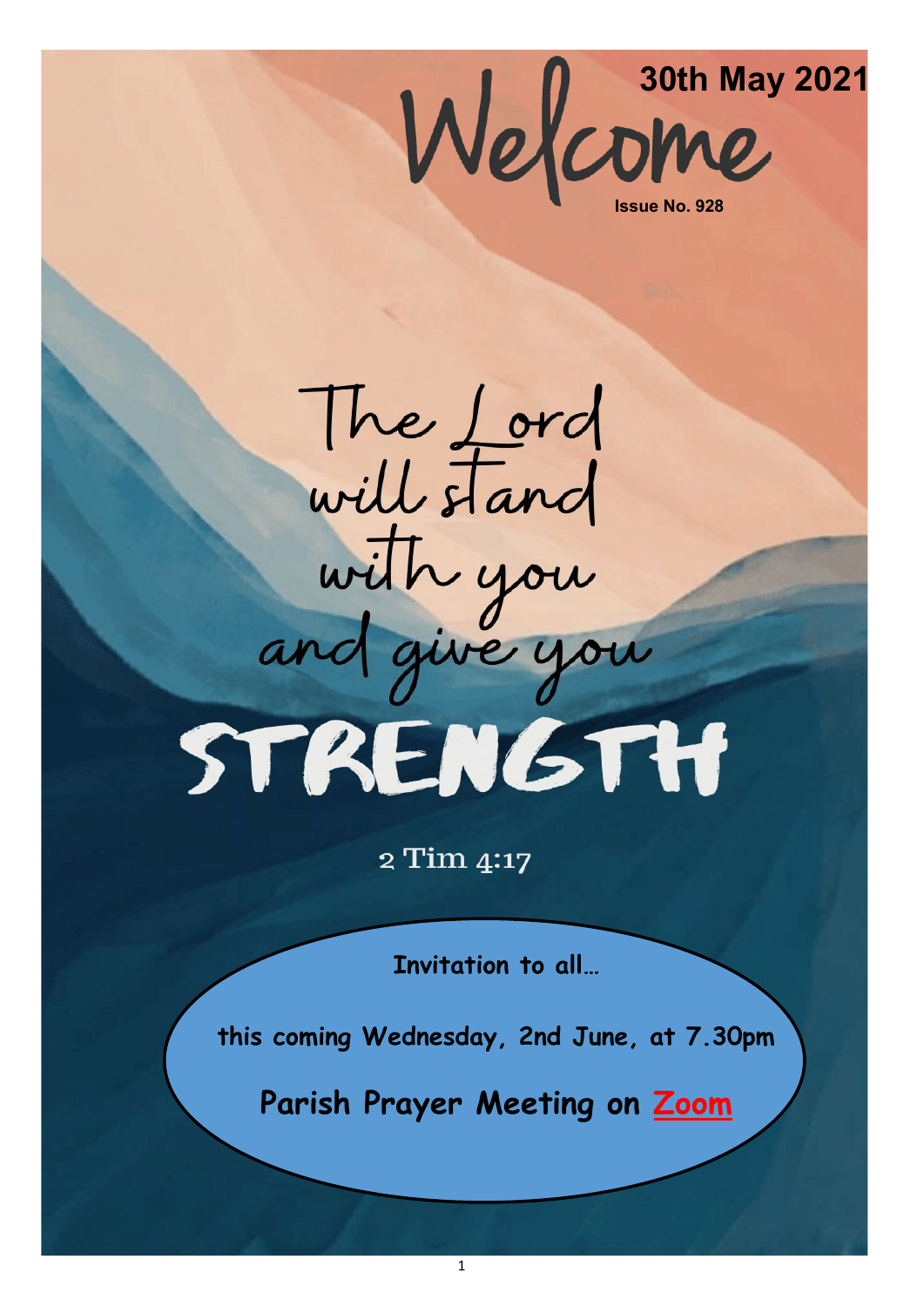

The Lord<br>will stand with you STRENGTH

2 Tim 4:17

**Invitation to all…**

**this coming Wednesday, 2nd June, at 7.30pm**

**Parish Prayer Meeting on [Zoom](https://us04web.zoom.us/j/141678796?pwd=VERURTVtcWQzbkZvdXFRMnJpKzg3dz09)**

1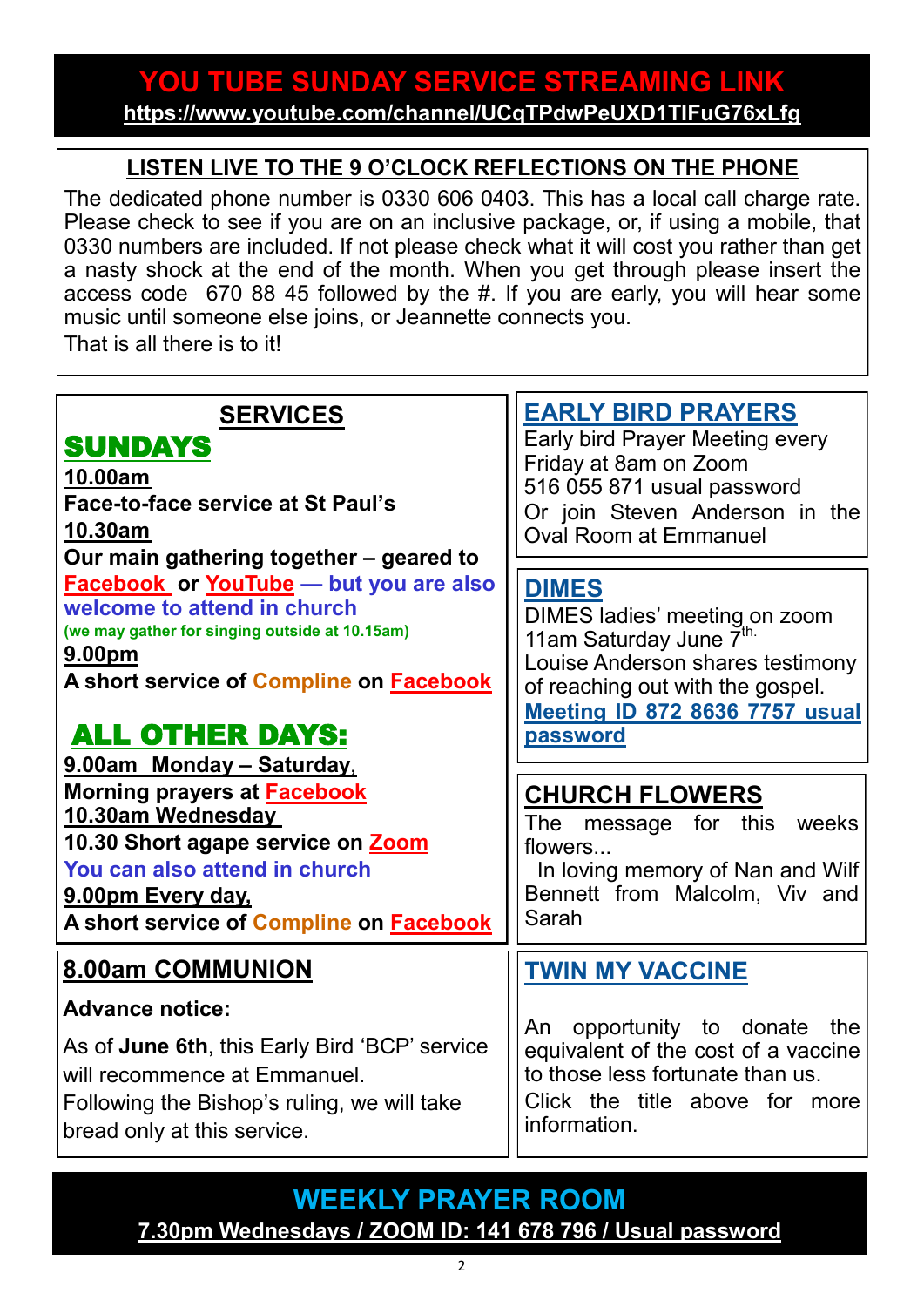## **YOU TUBE SUNDAY SERVICE STREAMING LINK <https://www.youtube.com/channel/UCqTPdwPeUXD1TIFuG76xLfg>**

## **LISTEN LIVE TO THE 9 O'CLOCK REFLECTIONS ON THE PHONE**

The dedicated phone number is 0330 606 0403. This has a local call charge rate. Please check to see if you are on an inclusive package, or, if using a mobile, that 0330 numbers are included. If not please check what it will cost you rather than get a nasty shock at the end of the month. When you get through please insert the access code 670 88 45 followed by the #. If you are early, you will hear some music until someone else joins, or Jeannette connects you. That is all there is to it!

| <b>SERVICES</b>                                                                                                                                                                                      | <b>EARLY BIRD PRAYERS</b>                                                                                                                       |
|------------------------------------------------------------------------------------------------------------------------------------------------------------------------------------------------------|-------------------------------------------------------------------------------------------------------------------------------------------------|
| <b>SUNDAYS</b>                                                                                                                                                                                       | <b>Early bird Prayer Meeting every</b>                                                                                                          |
| 10.00am                                                                                                                                                                                              | Friday at 8am on Zoom                                                                                                                           |
| Face-to-face service at St Paul's                                                                                                                                                                    | 516 055 871 usual password                                                                                                                      |
| 10.30am                                                                                                                                                                                              | Or join Steven Anderson in the                                                                                                                  |
| Our main gathering together - geared to                                                                                                                                                              | <b>Oval Room at Emmanuel</b>                                                                                                                    |
| <b>Facebook</b> or YouTube - but you are also                                                                                                                                                        | <b>DIMES</b>                                                                                                                                    |
| welcome to attend in church                                                                                                                                                                          | DIMES ladies' meeting on zoom                                                                                                                   |
| (we may gather for singing outside at 10.15am)                                                                                                                                                       | 11am Saturday June 7 <sup>th.</sup>                                                                                                             |
| 9.00pm                                                                                                                                                                                               | Louise Anderson shares testimony                                                                                                                |
| A short service of Compline on Facebook                                                                                                                                                              | of reaching out with the gospel.                                                                                                                |
| <b>ALL OTHER DAYS:</b>                                                                                                                                                                               | <b>Meeting ID 872 8636 7757 usual</b>                                                                                                           |
| 9.00am Monday - Saturday,                                                                                                                                                                            | password                                                                                                                                        |
| Morning prayers at <b>Facebook</b><br>10.30am Wednesday<br>10.30 Short agape service on Zoom<br>You can also attend in church<br>9.00pm Every day,<br>A short service of Compline on <b>Facebook</b> | <b>CHURCH FLOWERS</b><br>The message for this<br>weeks<br>flowers<br>In loving memory of Nan and Wilf<br>Bennett from Malcolm, Viv and<br>Sarah |
| <b>8.00am COMMUNION</b>                                                                                                                                                                              | <b>TWIN MY VACCINE</b>                                                                                                                          |
| <b>Advance notice:</b>                                                                                                                                                                               | An opportunity to donate the                                                                                                                    |
| As of June 6th, this Early Bird 'BCP' service                                                                                                                                                        | equivalent of the cost of a vaccine                                                                                                             |
| will recommence at Emmanuel.                                                                                                                                                                         | to those less fortunate than us.                                                                                                                |
| Following the Bishop's ruling, we will take                                                                                                                                                          | Click the title above for more                                                                                                                  |
| bread only at this service.                                                                                                                                                                          | information.                                                                                                                                    |

## **WEEKLY PRAYER ROOM [7.30pm Wednesdays / ZOOM ID: 141 678 796 / Usual password](https://us04web.zoom.us/j/141678796?pwd=VERURTVtcWQzbkZvdXFRMnJpKzg3dz09)**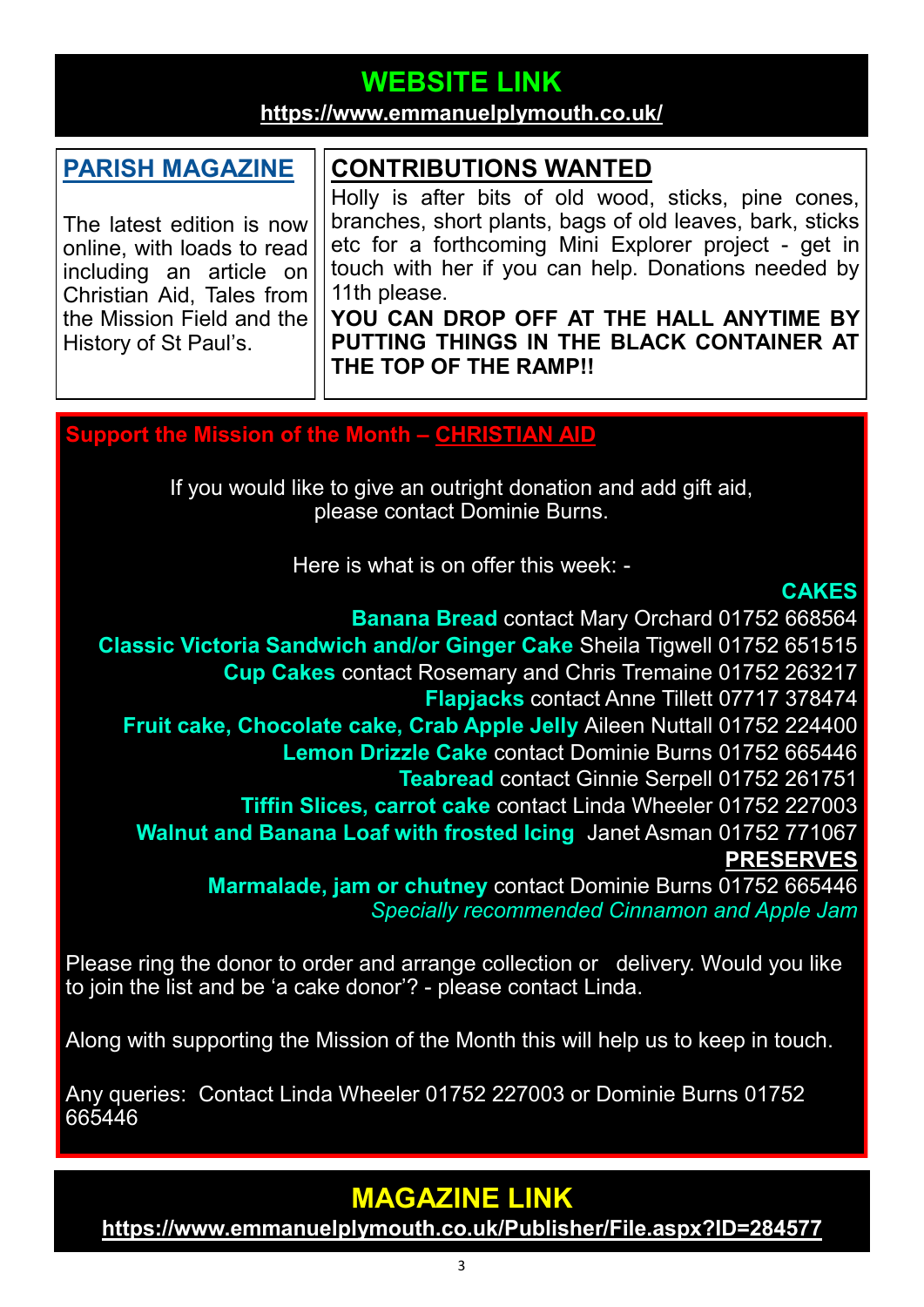# **WEBSITE LINK**

#### **<https://www.emmanuelplymouth.co.uk/>**

#### **[PARISH MAGAZINE](https://emmanuelsp.churchinsight.com/Publisher/File.aspx?ID=284577)**

The latest edition is now online, with loads to read including an article on Christian Aid, Tales from the Mission Field and the History of St Paul's.

## **CONTRIBUTIONS WANTED**

Holly is after bits of old wood, sticks, pine cones, branches, short plants, bags of old leaves, bark, sticks etc for a forthcoming Mini Explorer project - get in touch with her if you can help. Donations needed by 11th please.

**YOU CAN DROP OFF AT THE HALL ANYTIME BY PUTTING THINGS IN THE BLACK CONTAINER AT THE TOP OF THE RAMP!!** 

#### **Support the Mission of the Month – [CHRISTIAN AID](https://www.christianaid.org.uk/)**

If you would like to give an outright donation and add gift aid, please contact Dominie Burns.

Here is what is on offer this week: -

#### **CAKES**

**Banana Bread** contact Mary Orchard 01752 668564 **Classic Victoria Sandwich and/or Ginger Cake** Sheila Tigwell 01752 651515 **Cup Cakes** contact Rosemary and Chris Tremaine 01752 263217 **Flapjacks** contact Anne Tillett 07717 378474 **Fruit cake, Chocolate cake, Crab Apple Jelly** Aileen Nuttall 01752 224400 **Lemon Drizzle Cake** contact Dominie Burns 01752 665446 **Teabread** contact Ginnie Serpell 01752 261751 **Tiffin Slices, carrot cake** contact Linda Wheeler 01752 227003 **Walnut and Banana Loaf with frosted Icing** Janet Asman 01752 771067 **PRESERVES Marmalade, jam or chutney** contact Dominie Burns 01752 665446 *Specially recommended Cinnamon and Apple Jam*

Please ring the donor to order and arrange collection or delivery. Would you like to join the list and be 'a cake donor'? - please contact Linda.

Along with supporting the Mission of the Month this will help us to keep in touch.

Any queries: Contact Linda Wheeler 01752 227003 or Dominie Burns 01752 665446

## **MAGAZINE LINK**

**<https://www.emmanuelplymouth.co.uk/Publisher/File.aspx?ID=284577>**